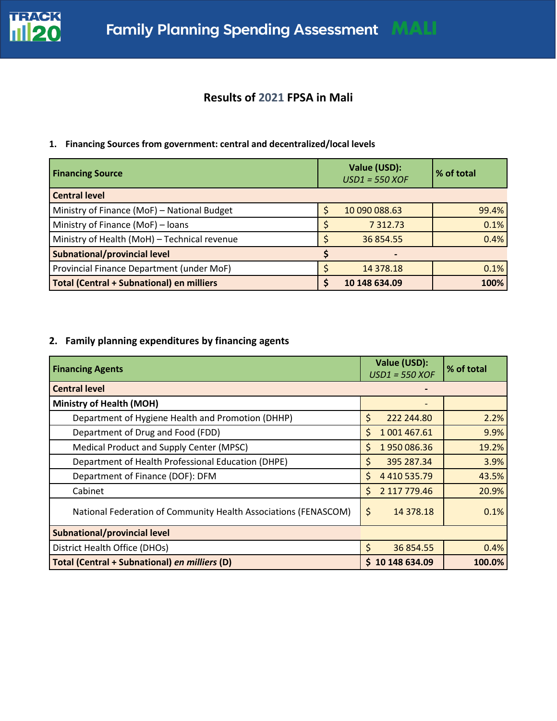

# **Results of 2021 FPSA in Mali**

### **1. Financing Sources from government: central and decentralized/local levels**

| <b>Financing Source</b>                      | Value (USD):<br>$USD1 = 550 XOF$ | % of total |
|----------------------------------------------|----------------------------------|------------|
| <b>Central level</b>                         |                                  |            |
| Ministry of Finance (MoF) - National Budget  | 10 090 088.63                    | 99.4%      |
| Ministry of Finance (MoF) - loans            | 7 3 1 2 . 7 3                    | 0.1%       |
| Ministry of Health (MoH) - Technical revenue | 36 854.55                        | 0.4%       |
| Subnational/provincial level                 |                                  |            |
| Provincial Finance Department (under MoF)    | 14 378.18                        | 0.1%       |
| Total (Central + Subnational) en milliers    | 10 148 634.09                    | 100%       |

## **2. Family planning expenditures by financing agents**

| <b>Financing Agents</b>                                         | Value (USD):<br>$USD1 = 550 XOF$ | % of total |
|-----------------------------------------------------------------|----------------------------------|------------|
| <b>Central level</b>                                            |                                  |            |
| <b>Ministry of Health (MOH)</b>                                 |                                  |            |
| Department of Hygiene Health and Promotion (DHHP)               | \$<br>222 244.80                 | 2.2%       |
| Department of Drug and Food (FDD)                               | Ś.<br>1 001 467.61               | 9.9%       |
| Medical Product and Supply Center (MPSC)                        | 1950086.36<br>Ś.                 | 19.2%      |
| Department of Health Professional Education (DHPE)              | \$<br>395 287.34                 | 3.9%       |
| Department of Finance (DOF): DFM                                | Ś.<br>4 4 10 5 3 5 . 7 9         | 43.5%      |
| Cabinet                                                         | Ś.<br>2 117 779.46               | 20.9%      |
| National Federation of Community Health Associations (FENASCOM) | \$<br>14 378.18                  | 0.1%       |
| <b>Subnational/provincial level</b>                             |                                  |            |
| District Health Office (DHOs)                                   | \$<br>36 854.55                  | 0.4%       |
| Total (Central + Subnational) en milliers (D)                   | \$10148634.09                    | 100.0%     |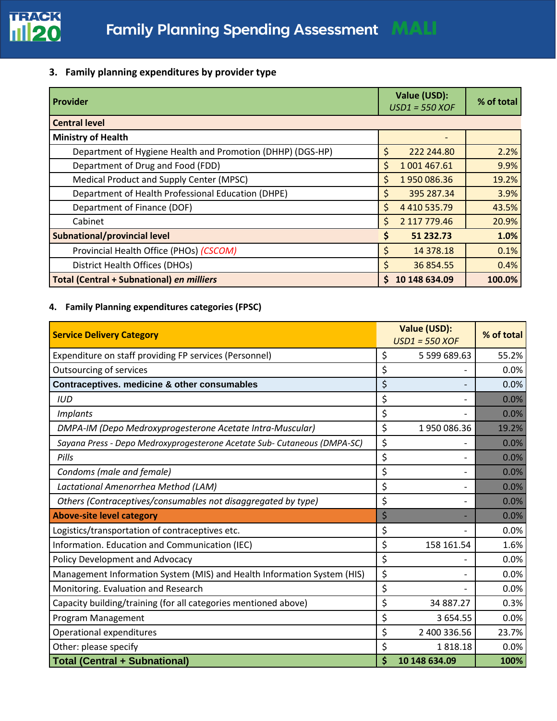

## **3. Family planning expenditures by provider type**

| <b>Provider</b>                                            | Value (USD):<br>$USD1 = 550 XOF$ | % of total |
|------------------------------------------------------------|----------------------------------|------------|
| <b>Central level</b>                                       |                                  |            |
| <b>Ministry of Health</b>                                  |                                  |            |
| Department of Hygiene Health and Promotion (DHHP) (DGS-HP) | Ś<br>222 244.80                  | 2.2%       |
| Department of Drug and Food (FDD)                          | \$<br>1 001 467.61               | 9.9%       |
| Medical Product and Supply Center (MPSC)                   | Ś<br>1950086.36                  | 19.2%      |
| Department of Health Professional Education (DHPE)         | 395 287.34<br>Ş                  | 3.9%       |
| Department of Finance (DOF)                                | \$<br>4 4 10 5 3 5 .79           | 43.5%      |
| Cabinet                                                    | Ś<br>2 117 779.46                | 20.9%      |
| <b>Subnational/provincial level</b>                        | 51 232.73<br>\$                  | 1.0%       |
| Provincial Health Office (PHOs) (CSCOM)                    | \$<br>14 378.18                  | 0.1%       |
| <b>District Health Offices (DHOs)</b>                      | 36 854.55<br>S                   | 0.4%       |
| <b>Total (Central + Subnational) en milliers</b>           | 10 148 634.09<br>S               | 100.0%     |

## **4. Family Planning expenditures categories (FPSC)**

| <b>Service Delivery Category</b>                                         | Value (USD):<br>$USD1 = 550 XOR$ | % of total |
|--------------------------------------------------------------------------|----------------------------------|------------|
| Expenditure on staff providing FP services (Personnel)                   | \$<br>5 599 689.63               | 55.2%      |
| Outsourcing of services                                                  | \$                               | 0.0%       |
| Contraceptives. medicine & other consumables                             | \$                               | 0.0%       |
| <b>IUD</b>                                                               | \$                               | 0.0%       |
| <b>Implants</b>                                                          | \$                               | 0.0%       |
| DMPA-IM (Depo Medroxyprogesterone Acetate Intra-Muscular)                | \$<br>1950086.36                 | 19.2%      |
| Sayana Press - Depo Medroxyprogesterone Acetate Sub- Cutaneous (DMPA-SC) | \$                               | 0.0%       |
| Pills                                                                    | \$                               | 0.0%       |
| Condoms (male and female)                                                | \$                               | 0.0%       |
| Lactational Amenorrhea Method (LAM)                                      | \$                               | 0.0%       |
| Others (Contraceptives/consumables not disaggregated by type)            | \$                               | 0.0%       |
| <b>Above-site level category</b>                                         | \$                               | 0.0%       |
| Logistics/transportation of contraceptives etc.                          | \$                               | 0.0%       |
| Information. Education and Communication (IEC)                           | \$<br>158 161.54                 | 1.6%       |
| Policy Development and Advocacy                                          | \$                               | 0.0%       |
| Management Information System (MIS) and Health Information System (HIS)  | \$                               | 0.0%       |
| Monitoring. Evaluation and Research                                      | \$                               | 0.0%       |
| Capacity building/training (for all categories mentioned above)          | \$<br>34 887.27                  | 0.3%       |
| Program Management                                                       | \$<br>3 654.55                   | 0.0%       |
| Operational expenditures                                                 | \$<br>2 400 336.56               | 23.7%      |
| Other: please specify                                                    | \$<br>1818.18                    | 0.0%       |
| <b>Total (Central + Subnational)</b>                                     | \$<br>10 148 634.09              | 100%       |